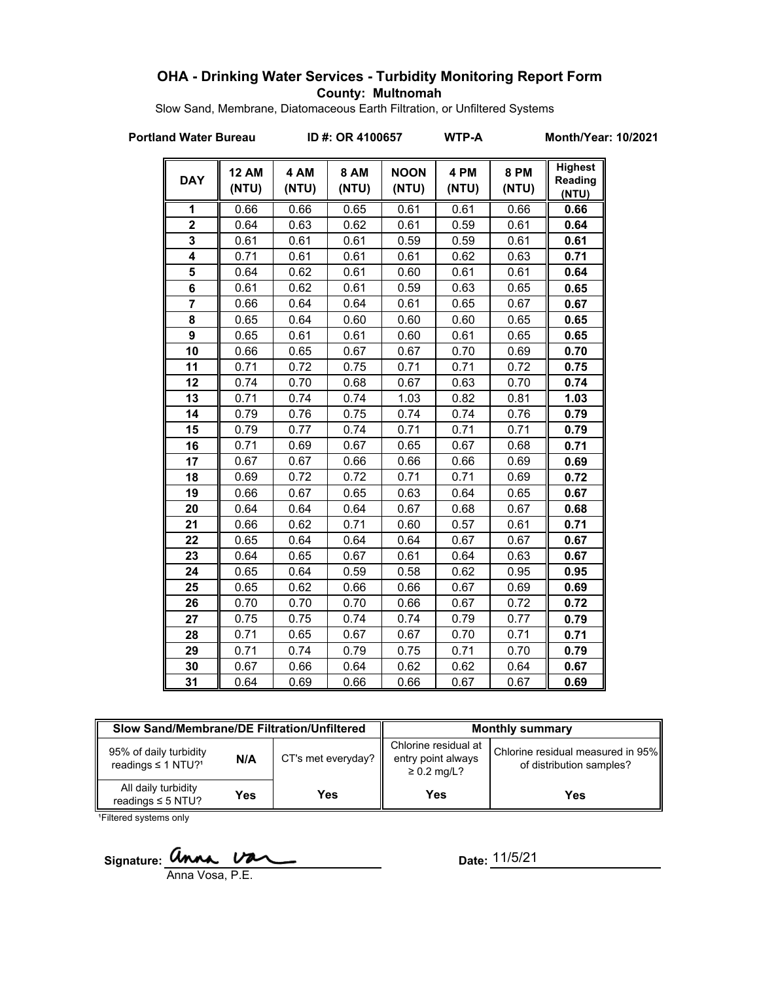### **OHA - Drinking Water Services - Turbidity Monitoring Report Form County: Multnomah**

Slow Sand, Membrane, Diatomaceous Earth Filtration, or Unfiltered Systems

**Portland Water Bureau ID #: OR 4100657 WTP-A Month/Year: 10/2021**

| <b>DAY</b>     | <b>12 AM</b><br>(NTU) | 4 AM<br>(NTU) | <b>8 AM</b><br>(NTU) | <b>NOON</b><br>(NTU) | 4 PM<br>(NTU) | <b>8 PM</b><br>(NTU) | <b>Highest</b><br>Reading<br>(NTU) |
|----------------|-----------------------|---------------|----------------------|----------------------|---------------|----------------------|------------------------------------|
| 1              | 0.66                  | 0.66          | 0.65                 | 0.61                 | 0.61          | 0.66                 | 0.66                               |
| $\overline{2}$ | 0.64                  | 0.63          | 0.62                 | 0.61                 | 0.59          | 0.61                 | 0.64                               |
| 3              | 0.61                  | 0.61          | 0.61                 | 0.59                 | 0.59          | 0.61                 | 0.61                               |
| 4              | 0.71                  | 0.61          | 0.61                 | 0.61                 | 0.62          | 0.63                 | 0.71                               |
| 5              | 0.64                  | 0.62          | 0.61                 | 0.60                 | 0.61          | 0.61                 | 0.64                               |
| 6              | 0.61                  | 0.62          | 0.61                 | 0.59                 | 0.63          | 0.65                 | 0.65                               |
| $\overline{7}$ | 0.66                  | 0.64          | 0.64                 | 0.61                 | 0.65          | 0.67                 | 0.67                               |
| 8              | 0.65                  | 0.64          | 0.60                 | 0.60                 | 0.60          | 0.65                 | 0.65                               |
| 9              | 0.65                  | 0.61          | 0.61                 | 0.60                 | 0.61          | 0.65                 | 0.65                               |
| 10             | 0.66                  | 0.65          | 0.67                 | 0.67                 | 0.70          | 0.69                 | 0.70                               |
| 11             | 0.71                  | 0.72          | 0.75                 | 0.71                 | 0.71          | 0.72                 | 0.75                               |
| 12             | 0.74                  | 0.70          | 0.68                 | 0.67                 | 0.63          | 0.70                 | 0.74                               |
| 13             | 0.71                  | 0.74          | 0.74                 | 1.03                 | 0.82          | 0.81                 | 1.03                               |
| 14             | 0.79                  | 0.76          | 0.75                 | 0.74                 | 0.74          | 0.76                 | 0.79                               |
| 15             | 0.79                  | 0.77          | 0.74                 | 0.71                 | 0.71          | 0.71                 | 0.79                               |
| 16             | 0.71                  | 0.69          | 0.67                 | 0.65                 | 0.67          | 0.68                 | 0.71                               |
| 17             | 0.67                  | 0.67          | 0.66                 | 0.66                 | 0.66          | 0.69                 | 0.69                               |
| 18             | 0.69                  | 0.72          | 0.72                 | 0.71                 | 0.71          | 0.69                 | 0.72                               |
| 19             | 0.66                  | 0.67          | 0.65                 | 0.63                 | 0.64          | 0.65                 | 0.67                               |
| 20             | 0.64                  | 0.64          | 0.64                 | 0.67                 | 0.68          | 0.67                 | 0.68                               |
| 21             | 0.66                  | 0.62          | 0.71                 | 0.60                 | 0.57          | 0.61                 | 0.71                               |
| 22             | 0.65                  | 0.64          | 0.64                 | 0.64                 | 0.67          | 0.67                 | 0.67                               |
| 23             | 0.64                  | 0.65          | 0.67                 | 0.61                 | 0.64          | 0.63                 | 0.67                               |
| 24             | 0.65                  | 0.64          | 0.59                 | 0.58                 | 0.62          | 0.95                 | 0.95                               |
| 25             | 0.65                  | 0.62          | 0.66                 | 0.66                 | 0.67          | 0.69                 | 0.69                               |
| 26             | 0.70                  | 0.70          | 0.70                 | 0.66                 | 0.67          | 0.72                 | 0.72                               |
| 27             | 0.75                  | 0.75          | 0.74                 | 0.74                 | 0.79          | 0.77                 | 0.79                               |
| 28             | 0.71                  | 0.65          | 0.67                 | 0.67                 | 0.70          | 0.71                 | 0.71                               |
| 29             | 0.71                  | 0.74          | 0.79                 | 0.75                 | 0.71          | 0.70                 | 0.79                               |
| 30             | 0.67                  | 0.66          | 0.64                 | 0.62                 | 0.62          | 0.64                 | 0.67                               |
| 31             | 0.64                  | 0.69          | 0.66                 | 0.66                 | 0.67          | 0.67                 | 0.69                               |

| Slow Sand/Membrane/DE Filtration/Unfiltered                          |     |                    | <b>Monthly summary</b>                                         |                                                               |  |
|----------------------------------------------------------------------|-----|--------------------|----------------------------------------------------------------|---------------------------------------------------------------|--|
| 95% of daily turbidity<br>N/A<br>readings $\leq$ 1 NTU? <sup>1</sup> |     | CT's met everyday? | Chlorine residual at<br>entry point always<br>$\geq 0.2$ mg/L? | Chlorine residual measured in 95%<br>of distribution samples? |  |
| All daily turbidity<br>readings $\leq$ 5 NTU?                        | Yes | Yes                | Yes                                                            | Yes                                                           |  |

<sup>1</sup>Filtered systems only

Signature: **WMAL USAL** COME **Date:** 

Anna Vosa, P.E.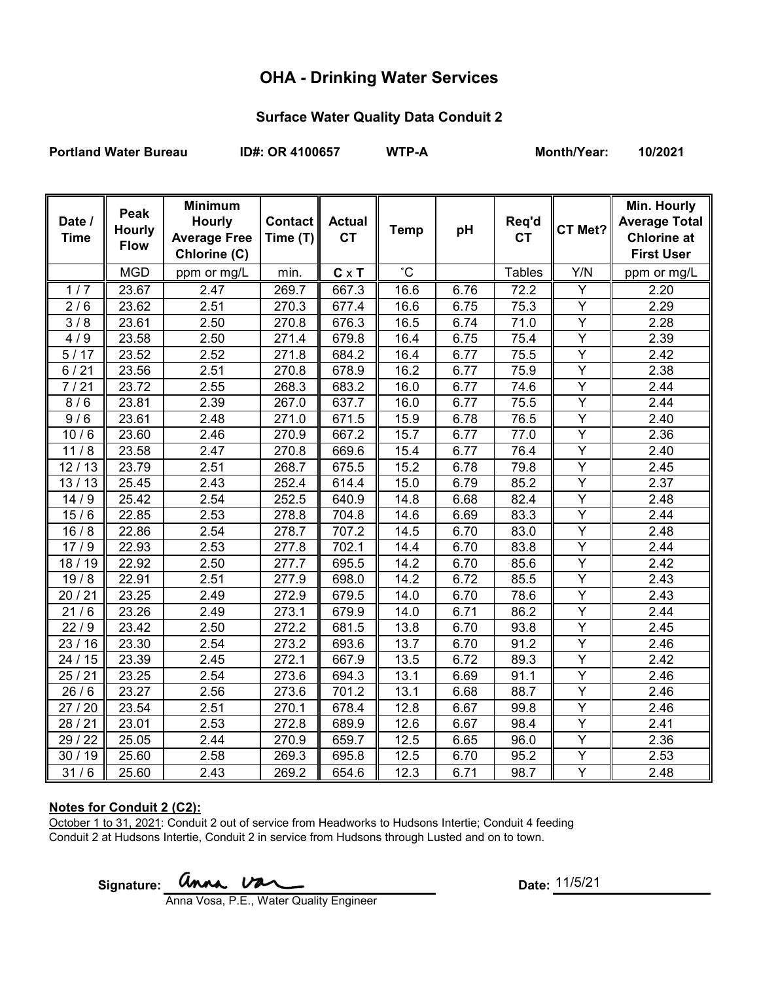## **OHA - Drinking Water Services**

### **Surface Water Quality Data Conduit 2**

Portland Water Bureau **ID#: OR 4100657** WTP-A Month/Year: 10/2021

|             | Peak          | <b>Minimum</b>      |                |               |             |      |               |                | Min. Hourly          |
|-------------|---------------|---------------------|----------------|---------------|-------------|------|---------------|----------------|----------------------|
| Date /      | <b>Hourly</b> | <b>Hourly</b>       | <b>Contact</b> | <b>Actual</b> | <b>Temp</b> | pH   | Req'd         | CT Met?        | <b>Average Total</b> |
| <b>Time</b> | <b>Flow</b>   | <b>Average Free</b> | Time (T)       | <b>CT</b>     |             |      | <b>CT</b>     |                | <b>Chlorine at</b>   |
|             |               | Chlorine (C)        |                |               |             |      |               |                | <b>First User</b>    |
|             | <b>MGD</b>    | ppm or mg/L         | min.           | $C \times T$  | $^{\circ}C$ |      | <b>Tables</b> | Y/N            | ppm or mg/L          |
| 1/7         | 23.67         | 2.47                | 269.7          | 667.3         | 16.6        | 6.76 | 72.2          | Y              | 2.20                 |
| 2/6         | 23.62         | 2.51                | 270.3          | 677.4         | 16.6        | 6.75 | 75.3          | Υ              | 2.29                 |
| 3/8         | 23.61         | 2.50                | 270.8          | 676.3         | 16.5        | 6.74 | 71.0          | $\overline{Y}$ | 2.28                 |
| 4/9         | 23.58         | 2.50                | 271.4          | 679.8         | 16.4        | 6.75 | 75.4          | Y              | 2.39                 |
| 5/17        | 23.52         | 2.52                | 271.8          | 684.2         | 16.4        | 6.77 | 75.5          | Y              | 2.42                 |
| 6/21        | 23.56         | 2.51                | 270.8          | 678.9         | 16.2        | 6.77 | 75.9          | Y              | 2.38                 |
| 7/21        | 23.72         | 2.55                | 268.3          | 683.2         | 16.0        | 6.77 | 74.6          | $\overline{Y}$ | 2.44                 |
| 8/6         | 23.81         | 2.39                | 267.0          | 637.7         | 16.0        | 6.77 | 75.5          | $\overline{Y}$ | 2.44                 |
| 9/6         | 23.61         | 2.48                | 271.0          | 671.5         | 15.9        | 6.78 | 76.5          | $\overline{Y}$ | 2.40                 |
| 10/6        | 23.60         | 2.46                | 270.9          | 667.2         | 15.7        | 6.77 | 77.0          | $\overline{Y}$ | 2.36                 |
| 11/8        | 23.58         | 2.47                | 270.8          | 669.6         | 15.4        | 6.77 | 76.4          | $\overline{Y}$ | 2.40                 |
| 12/13       | 23.79         | 2.51                | 268.7          | 675.5         | 15.2        | 6.78 | 79.8          | $\overline{Y}$ | 2.45                 |
| 13/13       | 25.45         | 2.43                | 252.4          | 614.4         | 15.0        | 6.79 | 85.2          | $\overline{Y}$ | 2.37                 |
| 14/9        | 25.42         | 2.54                | 252.5          | 640.9         | 14.8        | 6.68 | 82.4          | $\overline{Y}$ | 2.48                 |
| 15/6        | 22.85         | 2.53                | 278.8          | 704.8         | 14.6        | 6.69 | 83.3          | Y              | 2.44                 |
| 16/8        | 22.86         | 2.54                | 278.7          | 707.2         | 14.5        | 6.70 | 83.0          | $\overline{Y}$ | 2.48                 |
| 17/9        | 22.93         | 2.53                | 277.8          | 702.1         | 14.4        | 6.70 | 83.8          | $\overline{Y}$ | 2.44                 |
| 18 / 19     | 22.92         | 2.50                | 277.7          | 695.5         | 14.2        | 6.70 | 85.6          | $\overline{Y}$ | 2.42                 |
| 19/8        | 22.91         | 2.51                | 277.9          | 698.0         | 14.2        | 6.72 | 85.5          | $\overline{Y}$ | 2.43                 |
| 20/21       | 23.25         | 2.49                | 272.9          | 679.5         | 14.0        | 6.70 | 78.6          | $\overline{Y}$ | 2.43                 |
| 21/6        | 23.26         | 2.49                | 273.1          | 679.9         | 14.0        | 6.71 | 86.2          | $\overline{Y}$ | 2.44                 |
| 22/9        | 23.42         | 2.50                | 272.2          | 681.5         | 13.8        | 6.70 | 93.8          | Υ              | 2.45                 |
| 23/16       | 23.30         | 2.54                | 273.2          | 693.6         | 13.7        | 6.70 | 91.2          | $\overline{Y}$ | 2.46                 |
| 24 / 15     | 23.39         | 2.45                | 272.1          | 667.9         | 13.5        | 6.72 | 89.3          | Y              | 2.42                 |
| 25/21       | 23.25         | 2.54                | 273.6          | 694.3         | 13.1        | 6.69 | 91.1          | Y              | 2.46                 |
| 26/6        | 23.27         | 2.56                | 273.6          | 701.2         | 13.1        | 6.68 | 88.7          | $\overline{Y}$ | 2.46                 |
| 27/20       | 23.54         | 2.51                | 270.1          | 678.4         | 12.8        | 6.67 | 99.8          | Y              | 2.46                 |
| 28/21       | 23.01         | 2.53                | 272.8          | 689.9         | 12.6        | 6.67 | 98.4          | $\overline{Y}$ | 2.41                 |
| 29 / 22     | 25.05         | 2.44                | 270.9          | 659.7         | 12.5        | 6.65 | 96.0          | Y              | 2.36                 |
| 30/19       | 25.60         | 2.58                | 269.3          | 695.8         | 12.5        | 6.70 | 95.2          | $\overline{Y}$ | 2.53                 |
| 31/6        | 25.60         | 2.43                | 269.2          | 654.6         | 12.3        | 6.71 | 98.7          | Y              | 2.48                 |

#### **Notes for Conduit 2 (C2):**

October 1 to 31, 2021: Conduit 2 out of service from Headworks to Hudsons Intertie; Conduit 4 feeding Conduit 2 at Hudsons Intertie, Conduit 2 in service from Hudsons through Lusted and on to town.

Signature: **UNAA.** UNAA USA COMPOSED AT Date:

Anna Vosa, P.E., Water Quality Engineer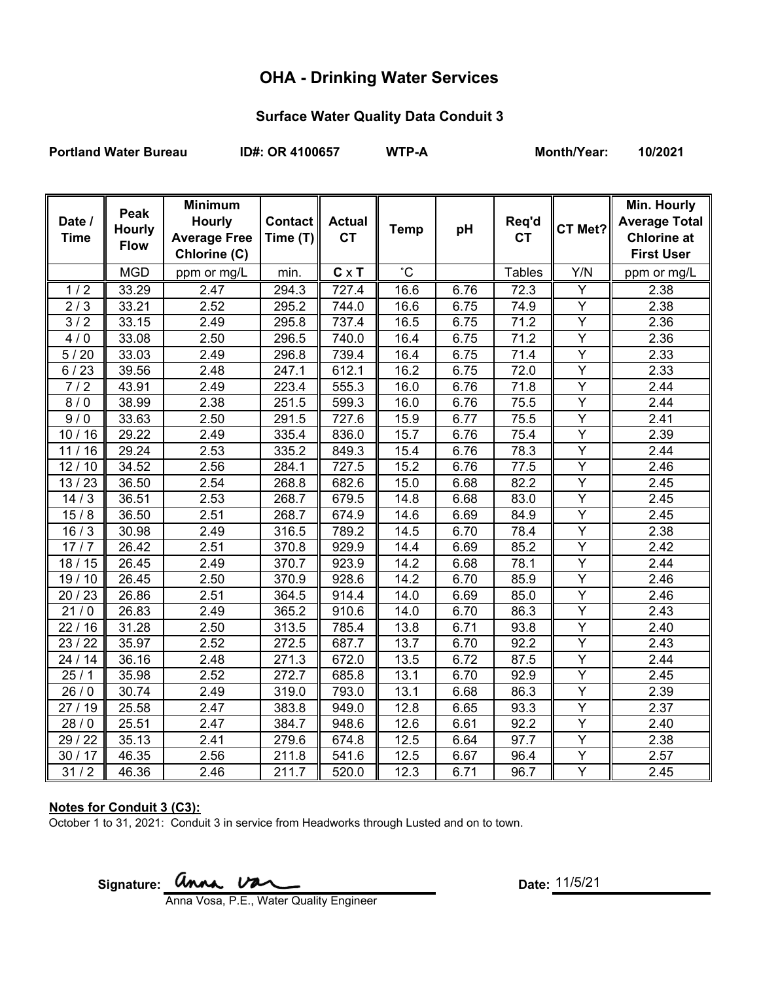## **OHA - Drinking Water Services**

### **Surface Water Quality Data Conduit 3**

Portland Water Bureau **ID#: OR 4100657** WTP-A Month/Year: 10/2021

| Date /<br><b>Time</b> | Peak<br><b>Hourly</b><br><b>Flow</b> | <b>Minimum</b><br><b>Hourly</b><br><b>Average Free</b><br>Chlorine (C) | Contact<br>Time (T) | <b>Actual</b><br><b>CT</b> | <b>Temp</b> | pH   | Req'd<br><b>CT</b> | CT Met?        | Min. Hourly<br><b>Average Total</b><br><b>Chlorine at</b><br><b>First User</b> |
|-----------------------|--------------------------------------|------------------------------------------------------------------------|---------------------|----------------------------|-------------|------|--------------------|----------------|--------------------------------------------------------------------------------|
|                       | <b>MGD</b>                           | ppm or mg/L                                                            | min.                | $C \times T$               | $^{\circ}C$ |      | <b>Tables</b>      | Y/N            | ppm or mg/L                                                                    |
| 1/2                   | 33.29                                | 2.47                                                                   | 294.3               | 727.4                      | 16.6        | 6.76 | 72.3               | Ÿ              | 2.38                                                                           |
| 2/3                   | 33.21                                | 2.52                                                                   | 295.2               | 744.0                      | 16.6        | 6.75 | 74.9               | $\overline{Y}$ | 2.38                                                                           |
| 3/2                   | 33.15                                | 2.49                                                                   | 295.8               | 737.4                      | 16.5        | 6.75 | 71.2               | $\overline{Y}$ | 2.36                                                                           |
| 4/0                   | 33.08                                | 2.50                                                                   | 296.5               | 740.0                      | 16.4        | 6.75 | 71.2               | $\overline{Y}$ | 2.36                                                                           |
| 5/20                  | 33.03                                | 2.49                                                                   | 296.8               | 739.4                      | 16.4        | 6.75 | 71.4               | $\overline{Y}$ | 2.33                                                                           |
| 6/23                  | 39.56                                | 2.48                                                                   | 247.1               | 612.1                      | 16.2        | 6.75 | 72.0               | Υ              | 2.33                                                                           |
| 7/2                   | 43.91                                | 2.49                                                                   | 223.4               | 555.3                      | 16.0        | 6.76 | 71.8               | $\overline{Y}$ | 2.44                                                                           |
| 8/0                   | 38.99                                | 2.38                                                                   | 251.5               | 599.3                      | 16.0        | 6.76 | 75.5               | Y              | 2.44                                                                           |
| $\overline{9/0}$      | 33.63                                | 2.50                                                                   | 291.5               | 727.6                      | 15.9        | 6.77 | 75.5               | $\overline{Y}$ | 2.41                                                                           |
| 10/16                 | 29.22                                | 2.49                                                                   | 335.4               | 836.0                      | 15.7        | 6.76 | 75.4               | Y              | 2.39                                                                           |
| 11/16                 | 29.24                                | 2.53                                                                   | 335.2               | 849.3                      | 15.4        | 6.76 | 78.3               | $\overline{Y}$ | 2.44                                                                           |
| 12/10                 | 34.52                                | 2.56                                                                   | 284.1               | 727.5                      | 15.2        | 6.76 | 77.5               | $\overline{Y}$ | 2.46                                                                           |
| 13/23                 | 36.50                                | 2.54                                                                   | 268.8               | 682.6                      | 15.0        | 6.68 | 82.2               | Y              | 2.45                                                                           |
| 14/3                  | 36.51                                | 2.53                                                                   | 268.7               | 679.5                      | 14.8        | 6.68 | 83.0               | $\overline{Y}$ | 2.45                                                                           |
| 15/8                  | 36.50                                | 2.51                                                                   | 268.7               | 674.9                      | 14.6        | 6.69 | 84.9               | $\overline{Y}$ | 2.45                                                                           |
| 16/3                  | 30.98                                | 2.49                                                                   | 316.5               | 789.2                      | 14.5        | 6.70 | 78.4               | $\overline{Y}$ | 2.38                                                                           |
| 17/7                  | 26.42                                | 2.51                                                                   | 370.8               | 929.9                      | 14.4        | 6.69 | 85.2               | $\overline{Y}$ | 2.42                                                                           |
| 18/15                 | 26.45                                | 2.49                                                                   | 370.7               | 923.9                      | 14.2        | 6.68 | 78.1               | $\overline{Y}$ | 2.44                                                                           |
| 19/10                 | 26.45                                | 2.50                                                                   | 370.9               | 928.6                      | 14.2        | 6.70 | 85.9               | Y              | 2.46                                                                           |
| 20/23                 | 26.86                                | 2.51                                                                   | 364.5               | 914.4                      | 14.0        | 6.69 | 85.0               | $\overline{Y}$ | 2.46                                                                           |
| 21/0                  | 26.83                                | 2.49                                                                   | 365.2               | 910.6                      | 14.0        | 6.70 | 86.3               | $\overline{Y}$ | 2.43                                                                           |
| 22/16                 | 31.28                                | 2.50                                                                   | 313.5               | 785.4                      | 13.8        | 6.71 | 93.8               | Υ              | 2.40                                                                           |
| 23/22                 | 35.97                                | 2.52                                                                   | 272.5               | 687.7                      | 13.7        | 6.70 | 92.2               | $\overline{Y}$ | 2.43                                                                           |
| 24/14                 | 36.16                                | 2.48                                                                   | 271.3               | 672.0                      | 13.5        | 6.72 | 87.5               | Y              | 2.44                                                                           |
| 25/1                  | 35.98                                | 2.52                                                                   | 272.7               | 685.8                      | 13.1        | 6.70 | 92.9               | $\overline{Y}$ | 2.45                                                                           |
| 26/0                  | 30.74                                | 2.49                                                                   | 319.0               | 793.0                      | 13.1        | 6.68 | 86.3               | $\overline{Y}$ | 2.39                                                                           |
| 27 / 19               | 25.58                                | 2.47                                                                   | 383.8               | 949.0                      | 12.8        | 6.65 | 93.3               | Y              | 2.37                                                                           |
| 28/0                  | 25.51                                | 2.47                                                                   | 384.7               | 948.6                      | 12.6        | 6.61 | 92.2               | $\overline{Y}$ | 2.40                                                                           |
| 29 / 22               | 35.13                                | 2.41                                                                   | 279.6               | 674.8                      | 12.5        | 6.64 | 97.7               | Y              | 2.38                                                                           |
| 30/17                 | 46.35                                | 2.56                                                                   | 211.8               | 541.6                      | 12.5        | 6.67 | 96.4               | $\overline{Y}$ | 2.57                                                                           |
| 31/2                  | 46.36                                | 2.46                                                                   | 211.7               | 520.0                      | 12.3        | 6.71 | 96.7               | Y              | 2.45                                                                           |

#### **Notes for Conduit 3 (C3):**

October 1 to 31, 2021: Conduit 3 in service from Headworks through Lusted and on to town.

**Signature: Date:**

Anna Vosa, P.E., Water Quality Engineer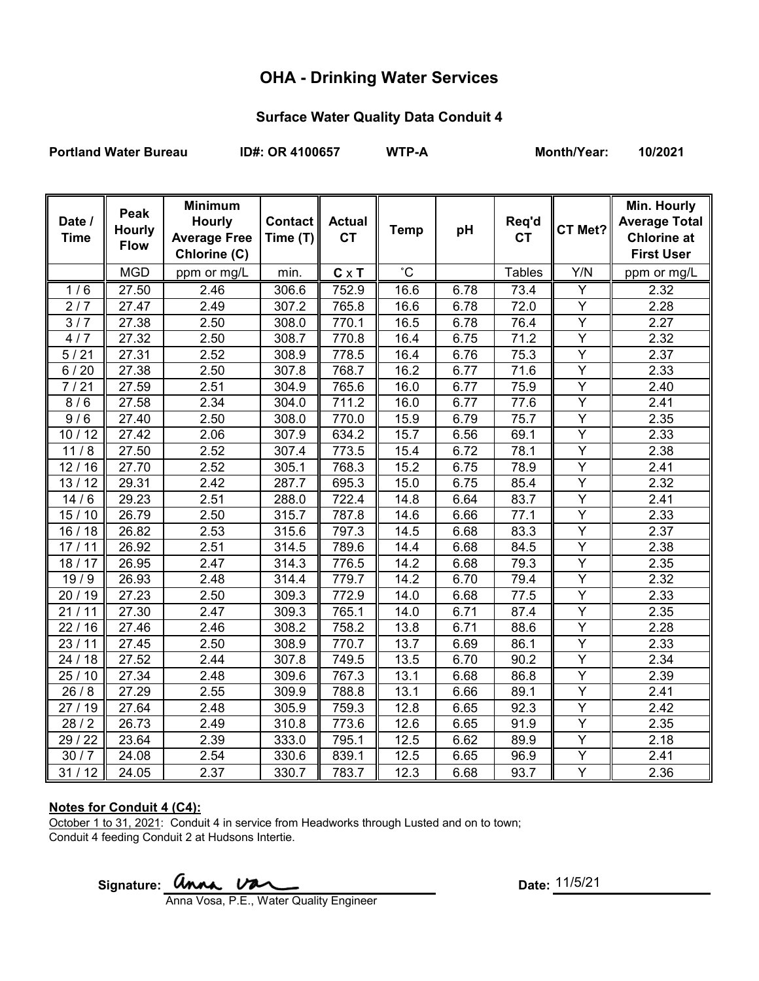## **OHA - Drinking Water Services**

### **Surface Water Quality Data Conduit 4**

Portland Water Bureau **ID#: OR 4100657** WTP-A Month/Year: 10/2021

| Date /<br><b>Time</b> | Peak<br><b>Hourly</b><br><b>Flow</b> | <b>Minimum</b><br><b>Hourly</b><br><b>Average Free</b><br>Chlorine (C) | <b>Contact</b><br>Time (T) | <b>Actual</b><br><b>CT</b> | <b>Temp</b>  | pH   | Req'd<br><b>CT</b> | CT Met?        | Min. Hourly<br><b>Average Total</b><br><b>Chlorine at</b><br><b>First User</b> |
|-----------------------|--------------------------------------|------------------------------------------------------------------------|----------------------------|----------------------------|--------------|------|--------------------|----------------|--------------------------------------------------------------------------------|
|                       | <b>MGD</b>                           | ppm or mg/L                                                            | min.                       | $C \times T$               | $^{\circ}$ C |      | <b>Tables</b>      | Y/N            | ppm or mg/L                                                                    |
| 1/6                   | 27.50                                | 2.46                                                                   | 306.6                      | 752.9                      | 16.6         | 6.78 | 73.4               | Y              | 2.32                                                                           |
| 2/7                   | 27.47                                | 2.49                                                                   | 307.2                      | 765.8                      | 16.6         | 6.78 | 72.0               | Y              | 2.28                                                                           |
| $\overline{3/7}$      | 27.38                                | 2.50                                                                   | 308.0                      | 770.1                      | 16.5         | 6.78 | 76.4               | $\overline{Y}$ | 2.27                                                                           |
| 4/7                   | 27.32                                | 2.50                                                                   | 308.7                      | 770.8                      | 16.4         | 6.75 | 71.2               | Y              | 2.32                                                                           |
| 5/21                  | 27.31                                | 2.52                                                                   | 308.9                      | 778.5                      | 16.4         | 6.76 | 75.3               | $\overline{Y}$ | 2.37                                                                           |
| $6/20$                | 27.38                                | 2.50                                                                   | 307.8                      | 768.7                      | 16.2         | 6.77 | 71.6               | Y              | 2.33                                                                           |
| 7/21                  | 27.59                                | 2.51                                                                   | 304.9                      | 765.6                      | 16.0         | 6.77 | 75.9               | $\overline{Y}$ | 2.40                                                                           |
| 8/6                   | 27.58                                | 2.34                                                                   | 304.0                      | 711.2                      | 16.0         | 6.77 | 77.6               | Y              | 2.41                                                                           |
| 9/6                   | 27.40                                | 2.50                                                                   | 308.0                      | 770.0                      | 15.9         | 6.79 | 75.7               | Y              | 2.35                                                                           |
| 10/12                 | 27.42                                | 2.06                                                                   | 307.9                      | 634.2                      | 15.7         | 6.56 | 69.1               | Y              | 2.33                                                                           |
| 11/8                  | 27.50                                | 2.52                                                                   | 307.4                      | 773.5                      | 15.4         | 6.72 | 78.1               | Y              | 2.38                                                                           |
| 12/16                 | 27.70                                | 2.52                                                                   | 305.1                      | 768.3                      | 15.2         | 6.75 | 78.9               | $\overline{Y}$ | 2.41                                                                           |
| 13/12                 | 29.31                                | 2.42                                                                   | 287.7                      | 695.3                      | 15.0         | 6.75 | 85.4               | $\overline{Y}$ | 2.32                                                                           |
| 14/6                  | 29.23                                | 2.51                                                                   | 288.0                      | 722.4                      | 14.8         | 6.64 | 83.7               | $\overline{Y}$ | 2.41                                                                           |
| 15/10                 | 26.79                                | 2.50                                                                   | 315.7                      | 787.8                      | 14.6         | 6.66 | 77.1               | Y              | 2.33                                                                           |
| 16/18                 | 26.82                                | 2.53                                                                   | 315.6                      | 797.3                      | 14.5         | 6.68 | 83.3               | $\overline{Y}$ | 2.37                                                                           |
| 17/11                 | 26.92                                | 2.51                                                                   | 314.5                      | 789.6                      | 14.4         | 6.68 | 84.5               | $\overline{Y}$ | 2.38                                                                           |
| 18/17                 | 26.95                                | 2.47                                                                   | 314.3                      | 776.5                      | 14.2         | 6.68 | 79.3               | $\overline{Y}$ | 2.35                                                                           |
| 19/9                  | 26.93                                | 2.48                                                                   | 314.4                      | 779.7                      | 14.2         | 6.70 | 79.4               | $\overline{Y}$ | 2.32                                                                           |
| 20 / 19               | 27.23                                | 2.50                                                                   | 309.3                      | 772.9                      | 14.0         | 6.68 | 77.5               | $\overline{Y}$ | 2.33                                                                           |
| 21/11                 | 27.30                                | 2.47                                                                   | 309.3                      | 765.1                      | 14.0         | 6.71 | 87.4               | $\overline{Y}$ | 2.35                                                                           |
| 22/16                 | 27.46                                | 2.46                                                                   | 308.2                      | 758.2                      | 13.8         | 6.71 | 88.6               | Y              | 2.28                                                                           |
| 23/11                 | 27.45                                | 2.50                                                                   | 308.9                      | 770.7                      | 13.7         | 6.69 | 86.1               | $\overline{Y}$ | 2.33                                                                           |
| 24 / 18               | 27.52                                | 2.44                                                                   | 307.8                      | 749.5                      | 13.5         | 6.70 | 90.2               | Y              | 2.34                                                                           |
| 25/10                 | 27.34                                | 2.48                                                                   | 309.6                      | 767.3                      | 13.1         | 6.68 | 86.8               | Y              | 2.39                                                                           |
| 26/8                  | 27.29                                | 2.55                                                                   | 309.9                      | 788.8                      | 13.1         | 6.66 | 89.1               | Y              | 2.41                                                                           |
| 27/19                 | 27.64                                | 2.48                                                                   | 305.9                      | 759.3                      | 12.8         | 6.65 | 92.3               | Y              | 2.42                                                                           |
| 28/2                  | 26.73                                | 2.49                                                                   | 310.8                      | 773.6                      | 12.6         | 6.65 | 91.9               | $\overline{Y}$ | 2.35                                                                           |
| 29 / 22               | 23.64                                | 2.39                                                                   | 333.0                      | 795.1                      | 12.5         | 6.62 | 89.9               | Y              | 2.18                                                                           |
| 30/7                  | 24.08                                | 2.54                                                                   | 330.6                      | 839.1                      | 12.5         | 6.65 | 96.9               | Y              | 2.41                                                                           |
| 31/12                 | 24.05                                | 2.37                                                                   | 330.7                      | 783.7                      | 12.3         | 6.68 | 93.7               | Y              | 2.36                                                                           |

#### **Notes for Conduit 4 (C4):**

October 1 to 31, 2021: Conduit 4 in service from Headworks through Lusted and on to town; Conduit 4 feeding Conduit 2 at Hudsons Intertie.

Signature: **UNAL UZAL** Contract Contract Contract Date:

Anna Vosa, P.E., Water Quality Engineer